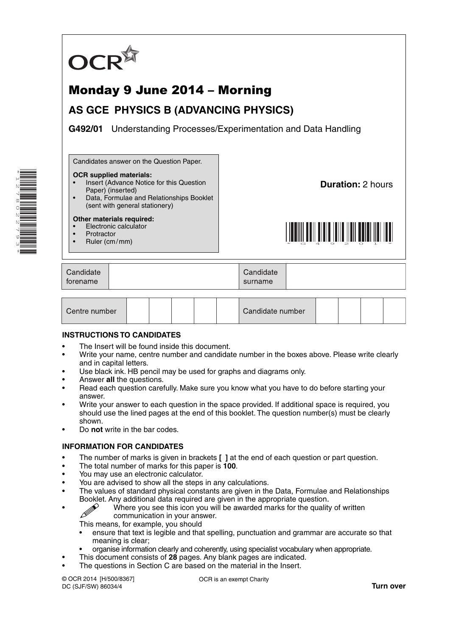

# Monday 9 June 2014 – Morning

# **AS GCE PHYSICS B (ADVANCING PHYSICS)**

**G492/01** Understanding Processes/Experimentation and Data Handling

Candidates answer on the Question Paper.

#### **OCR supplied materials:**

- Insert (Advance Notice for this Question
- Paper) (inserted) • Data, Formulae and Relationships Booklet
- (sent with general stationery)

#### **Other materials required:**

- Electronic calculator
- **Protractor**
- Ruler (cm / mm)

**Duration:** 2 hours



| Candidate<br>forename |  | Candidate<br>surname |  |
|-----------------------|--|----------------------|--|
|-----------------------|--|----------------------|--|

| Centre number |  |  |  |  |  | Candidate number |  |  |  |  |
|---------------|--|--|--|--|--|------------------|--|--|--|--|
|---------------|--|--|--|--|--|------------------|--|--|--|--|

#### **INSTRUCTIONS TO CANDIDATES**

- The Insert will be found inside this document.
- Write your name, centre number and candidate number in the boxes above. Please write clearly and in capital letters.
- Use black ink. HB pencil may be used for graphs and diagrams only.
- Answer **all** the questions.
- Read each question carefully. Make sure you know what you have to do before starting your answer.
- Write your answer to each question in the space provided. If additional space is required, you should use the lined pages at the end of this booklet. The question number(s) must be clearly shown.
- Do **not** write in the bar codes.

#### **INFORMATION FOR CANDIDATES**

- The number of marks is given in brackets **[ ]** at the end of each question or part question.
- The total number of marks for this paper is **100**.
- You may use an electronic calculator.
- You are advised to show all the steps in any calculations.
- The values of standard physical constants are given in the Data, Formulae and Relationships
	- Booklet. Any additional data required are given in the appropriate question.<br>Where you see this icon vou will be awarded marks for the quality Where you see this icon you will be awarded marks for the quality of written communication in your answer.

This means, for example, you should

- ensure that text is legible and that spelling, punctuation and grammar are accurate so that meaning is clear;
- organise information clearly and coherently, using specialist vocabulary when appropriate.
- This document consists of **28** pages. Any blank pages are indicated.
- The questions in Section C are based on the material in the Insert.

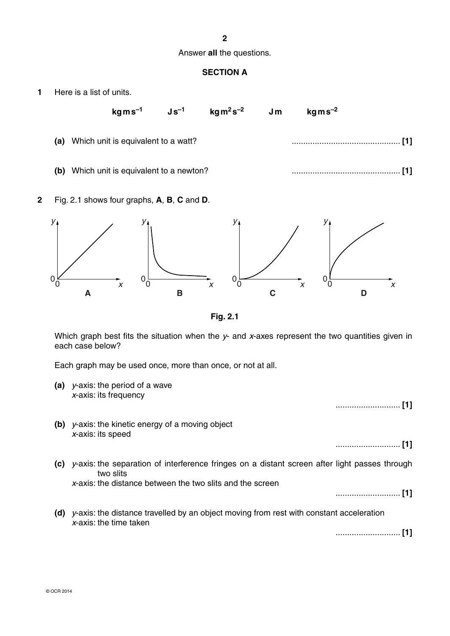#### **2**

#### Answer **all** the questions.

## **SECTION A**

**1** Here is a list of units.

| $kg\,m\,s^{-2}$ | Jm | $\mathrm{kg}\,\mathrm{m}^2\,\mathrm{s}^{-2}$ |  | $\mathrm{kg}\,\mathrm{m}\,\mathrm{s}^{-1} \qquad \mathsf{J}\,\mathrm{s}^{-1}$ |  |
|-----------------|----|----------------------------------------------|--|-------------------------------------------------------------------------------|--|
|                 |    |                                              |  | (a) Which unit is equivalent to a watt?                                       |  |
|                 |    |                                              |  | (b) Which unit is equivalent to a newton?                                     |  |

**2** Fig. 2.1 shows four graphs, **A**, **B**, **C** and **D**.



**Fig. 2.1**

Which graph best fits the situation when the *y*- and *x*-axes represent the two quantities given in each case below?

Each graph may be used once, more than once, or not at all.

**(a)** *y*-axis: the period of a wave *x*-axis: its frequency

............................ **[1]**

 **(b)** *y*-axis: the kinetic energy of a moving object *x*-axis: its speed

............................ **[1]**

 **(c)** *y*-axis: the separation of interference fringes on a distant screen after light passes through two slits

*x*-axis: the distance between the two slits and the screen

............................ **[1]**

 **(d)** *y*-axis: the distance travelled by an object moving from rest with constant acceleration *x*-axis: the time taken

............................ **[1]**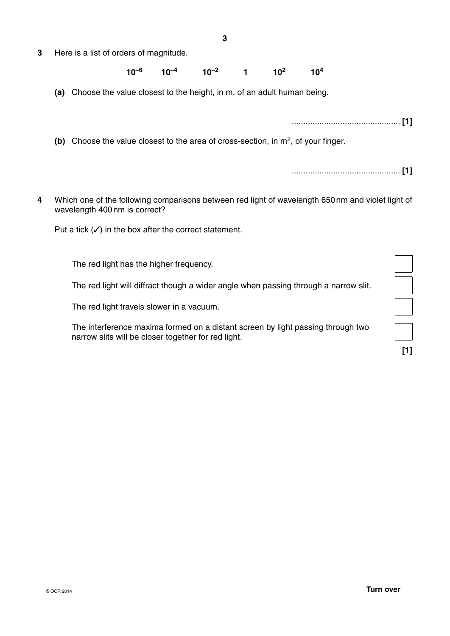**3** Here is a list of orders of magnitude.

## **10–6 10–4 10–2 1 102 104**

 **(a)** Choose the value closest to the height, in m, of an adult human being.

............................................... **[1] (b)** Choose the value closest to the area of cross-section, in m<sup>2</sup>, of your finger.

............................................... **[1]**

**4** Which one of the following comparisons between red light of wavelength 650 nm and violet light of wavelength 400 nm is correct?

Put a tick  $(V)$  in the box after the correct statement.

The red light has the higher frequency.

The red light will diffract though a wider angle when passing through a narrow slit.

The red light travels slower in a vacuum.

The interference maxima formed on a distant screen by light passing through two narrow slits will be closer together for red light.

 **[1]**

 $\overline{a}$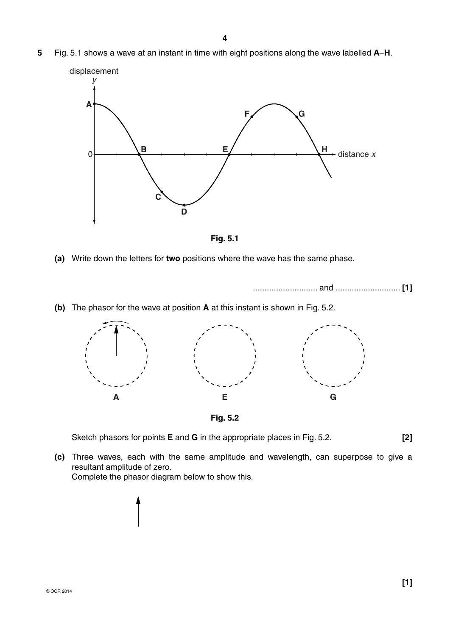**5** Fig. 5.1 shows a wave at an instant in time with eight positions along the wave labelled **A**–**H**.





 **(a)** Write down the letters for **two** positions where the wave has the same phase.

............................ and ............................ **[1]**

 **(b)** The phasor for the wave at position **A** at this instant is shown in Fig. 5.2.





Sketch phasors for points **E** and **G** in the appropriate places in Fig. 5.2. **[2]**

 **(c)** Three waves, each with the same amplitude and wavelength, can superpose to give a resultant amplitude of zero. Complete the phasor diagram below to show this.

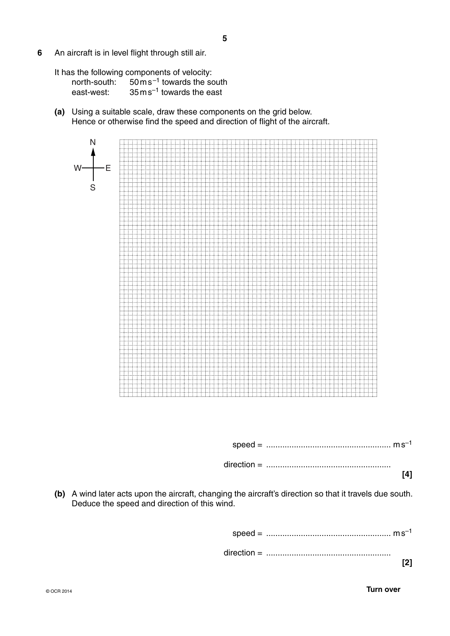- **6** An aircraft is in level flight through still air.
	- It has the following components of velocity:

| north-south: | $50 \,\mathrm{m}\,\mathrm{s}^{-1}$ towards the south |
|--------------|------------------------------------------------------|
| east-west:   | $35 \,\mathrm{m}\,\mathrm{s}^{-1}$ towards the east  |

 **(a)** Using a suitable scale, draw these components on the grid below. Hence or otherwise find the speed and direction of flight of the aircraft.



speed = ...................................................... m s–1

direction = ......................................................

- **[4]**
- **(b)** A wind later acts upon the aircraft, changing the aircraft's direction so that it travels due south. Deduce the speed and direction of this wind.

 speed = ...................................................... m s–1 direction = ...................................................... **[2]**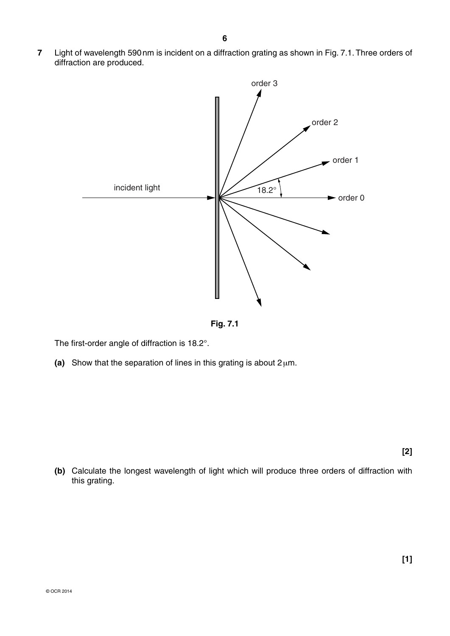**7** Light of wavelength 590 nm is incident on a diffraction grating as shown in Fig. 7.1. Three orders of diffraction are produced.



**Fig. 7.1**

The first-order angle of diffraction is 18.2°.

 **(a)** Show that the separation of lines in this grating is about 2 μm.

**[2]**

**[1]** 

 **(b)** Calculate the longest wavelength of light which will produce three orders of diffraction with this grating.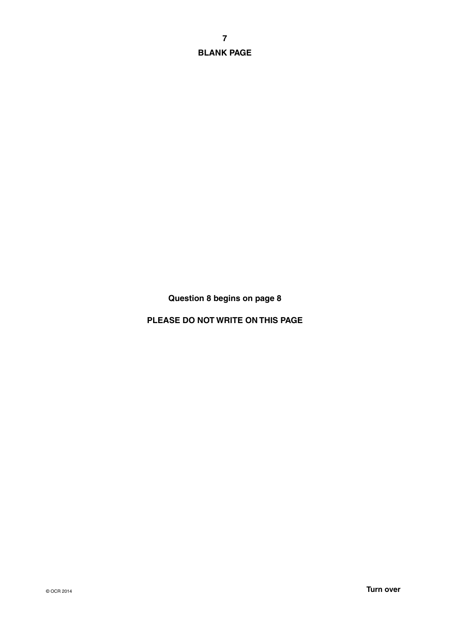**7 BLANK PAGE**

**Question 8 begins on page 8**

**PLEASE DO NOT WRITE ON THIS PAGE**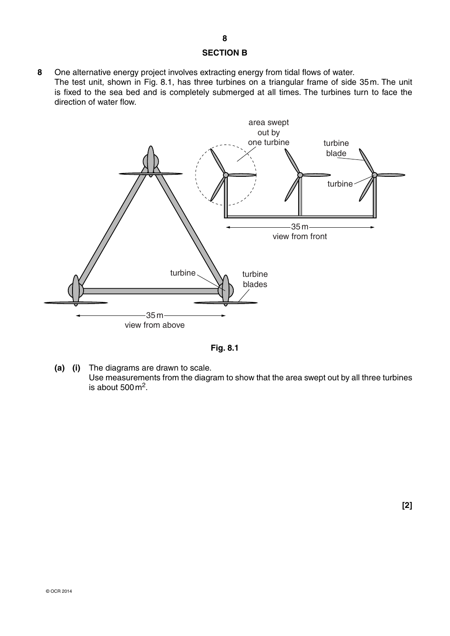### **SECTION B**

**8** One alternative energy project involves extracting energy from tidal flows of water. The test unit, shown in Fig. 8.1, has three turbines on a triangular frame of side 35 m. The unit is fixed to the sea bed and is completely submerged at all times. The turbines turn to face the direction of water flow.



**Fig. 8.1**

 **(a) (i)** The diagrams are drawn to scale. Use measurements from the diagram to show that the area swept out by all three turbines is about  $500 \text{ m}^2$ .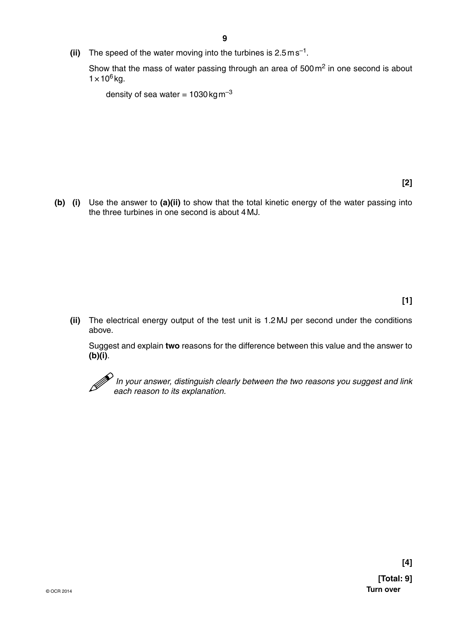**(ii)** The speed of the water moving into the turbines is 2.5 m s<sup>-1</sup>.

Show that the mass of water passing through an area of 500 m<sup>2</sup> in one second is about  $1 \times 10^6$  kg.

density of sea water =  $1030 \text{ kg m}^{-3}$ 

 **(b) (i)** Use the answer to **(a)(ii)** to show that the total kinetic energy of the water passing into the three turbines in one second is about 4 MJ.

## **[1]**

 **(ii)** The electrical energy output of the test unit is 1.2 MJ per second under the conditions above.

Suggest and explain **two** reasons for the difference between this value and the answer to **(b)(i)**.



 *In your answer, distinguish clearly between the two reasons you suggest and link each reason to its explanation.*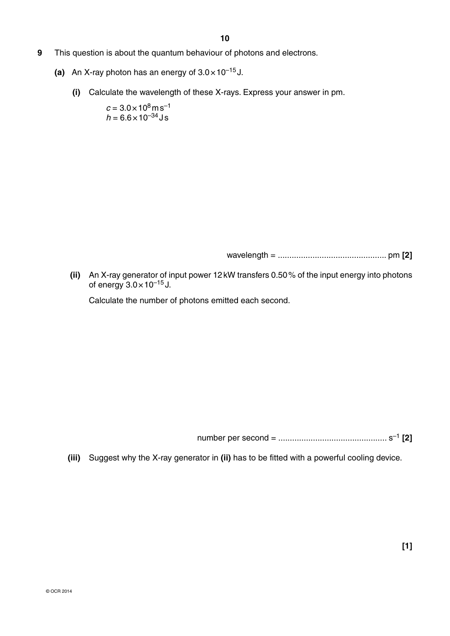- **9** This question is about the quantum behaviour of photons and electrons.
	- (a) An X-ray photon has an energy of  $3.0 \times 10^{-15}$  J.
		- **(i)** Calculate the wavelength of these X-rays. Express your answer in pm.

 $c = 3.0 \times 10^8 \,\mathrm{m\,s^{-1}}$  $h = 6.6 \times 10^{-34}$  J s

wavelength = ............................................... pm **[2]**

 **(ii)** An X-ray generator of input power 12 kW transfers 0.50 % of the input energy into photons of energy  $3.0 \times 10^{-15}$  J.

Calculate the number of photons emitted each second.

number per second = ............................................... s–1 **[2]**

 **(iii)** Suggest why the X-ray generator in **(ii)** has to be fitted with a powerful cooling device.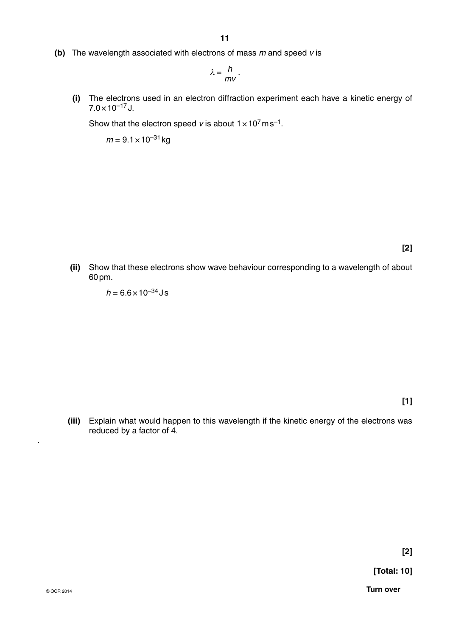**(b)** The wavelength associated with electrons of mass *m* and speed *v* is

$$
\lambda=\frac{h}{mv}.
$$

 **(i)** The electrons used in an electron diffraction experiment each have a kinetic energy of  $7.0 \times 10^{-17}$  J.

Show that the electron speed *v* is about  $1 \times 10^7$  m s<sup>-1</sup>.

 $m = 9.1 \times 10^{-31}$  kg

**[2]**

 **(ii)** Show that these electrons show wave behaviour corresponding to a wavelength of about 60 pm.

 $h = 6.6 \times 10^{-34}$  J s

**[1]**

 **(iii)** Explain what would happen to this wavelength if the kinetic energy of the electrons was reduced by a factor of 4.

.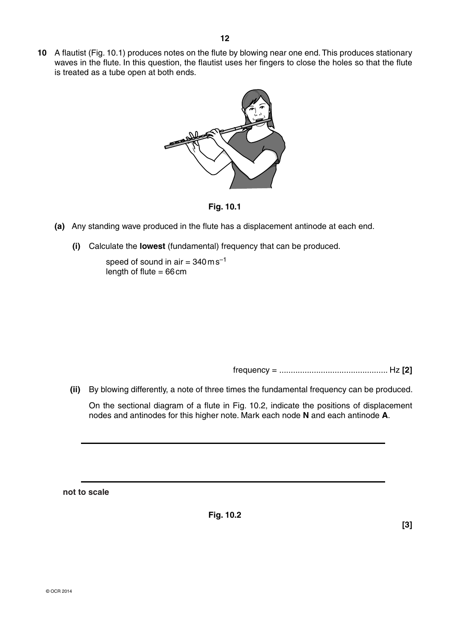

**Fig. 10.1**

- **(a)** Any standing wave produced in the flute has a displacement antinode at each end.
	- **(i)** Calculate the **lowest** (fundamental) frequency that can be produced.

speed of sound in air =  $340 \text{ ms}^{-1}$ length of flute  $= 66$  cm

frequency = ............................................... Hz **[2]**

 **(ii)** By blowing differently, a note of three times the fundamental frequency can be produced.

On the sectional diagram of a flute in Fig. 10.2, indicate the positions of displacement nodes and antinodes for this higher note. Mark each node **N** and each antinode **A**.

**not to scale**

**Fig. 10.2**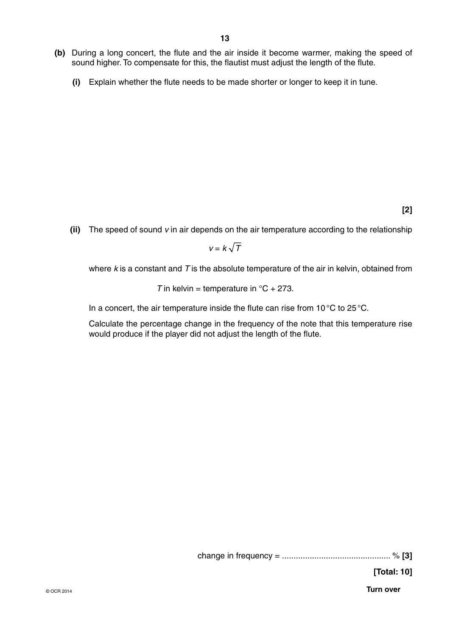- **(b)** During a long concert, the flute and the air inside it become warmer, making the speed of sound higher. To compensate for this, the flautist must adjust the length of the flute.
	- **(i)** Explain whether the flute needs to be made shorter or longer to keep it in tune.

**[2]**

 **(ii)** The speed of sound *v* in air depends on the air temperature according to the relationship

 $v = k\sqrt{T}$ 

where *k* is a constant and *T* is the absolute temperature of the air in kelvin, obtained from

*T* in kelvin = temperature in  ${}^{\circ}C$  + 273.

In a concert, the air temperature inside the flute can rise from 10 °C to 25 °C.

Calculate the percentage change in the frequency of the note that this temperature rise would produce if the player did not adjust the length of the flute.

change in frequency = ............................................... % **[3]**

**[Total: 10]**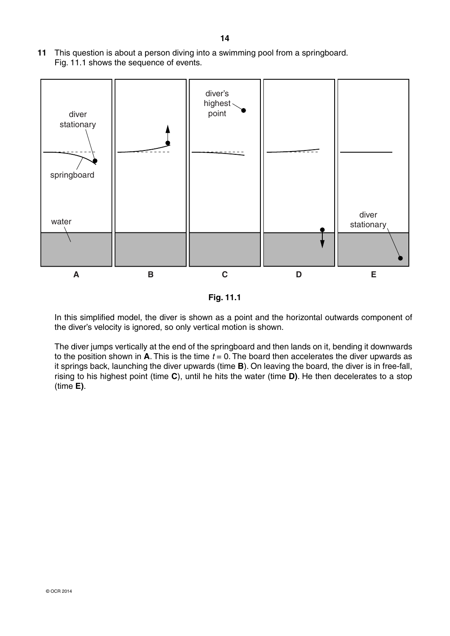**11** This question is about a person diving into a swimming pool from a springboard. Fig. 11.1 shows the sequence of events.



**Fig. 11.1**

In this simplified model, the diver is shown as a point and the horizontal outwards component of the diver's velocity is ignored, so only vertical motion is shown.

The diver jumps vertically at the end of the springboard and then lands on it, bending it downwards to the position shown in  $\overline{A}$ . This is the time  $t = 0$ . The board then accelerates the diver upwards as it springs back, launching the diver upwards (time **B**). On leaving the board, the diver is in free-fall, rising to his highest point (time **C**), until he hits the water (time **D)**. He then decelerates to a stop (time **E)**.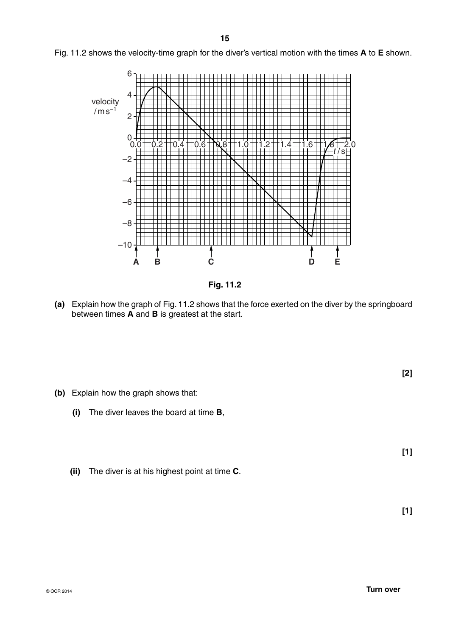Fig. 11.2 shows the velocity-time graph for the diver's vertical motion with the times **A** to **E** shown.



**Fig. 11.2**

 **(a)** Explain how the graph of Fig. 11.2 shows that the force exerted on the diver by the springboard between times **A** and **B** is greatest at the start.

- **(b)** Explain how the graph shows that:
	- **(i)** The diver leaves the board at time **B**,
	- **(ii)** The diver is at his highest point at time **C**.

 **[1]**

**[1]**

**[2]**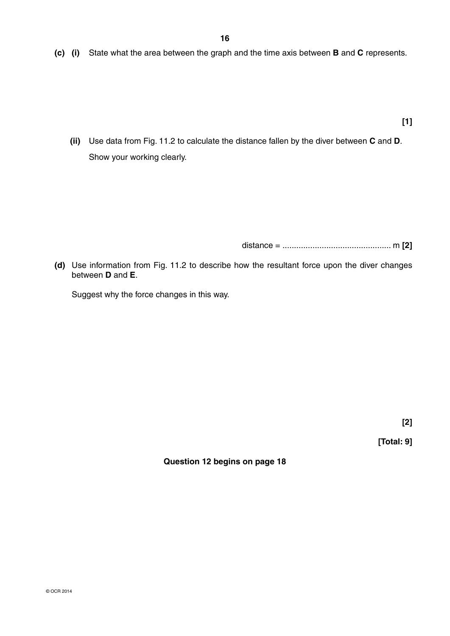**(c) (i)** State what the area between the graph and the time axis between **B** and **C** represents.

**[1]**

 **(ii)** Use data from Fig. 11.2 to calculate the distance fallen by the diver between **C** and **D**. Show your working clearly.

distance = ............................................... m **[2]**

 **(d)** Use information from Fig. 11.2 to describe how the resultant force upon the diver changes between **D** and **E**.

Suggest why the force changes in this way.

**[2]**

**[Total: 9]**

**Question 12 begins on page 18**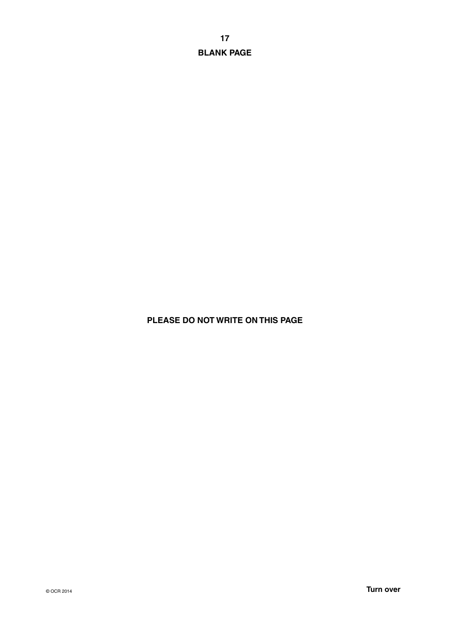**17 BLANK PAGE**

# **PLEASE DO NOT WRITE ON THIS PAGE**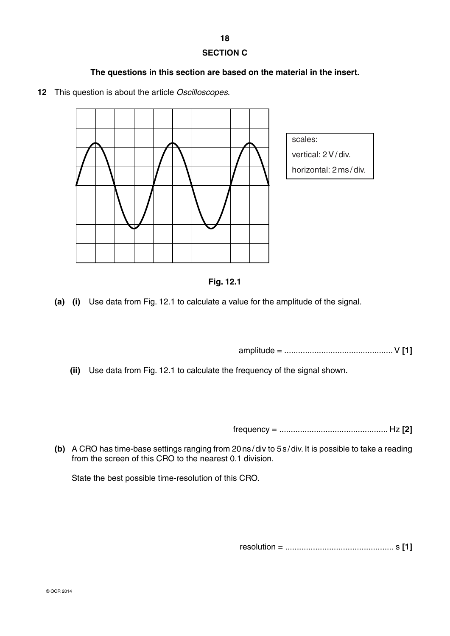**18**

# **SECTION C**

## **The questions in this section are based on the material in the insert.**

**12** This question is about the article *Oscilloscopes*.





 **(a) (i)** Use data from Fig. 12.1 to calculate a value for the amplitude of the signal.

amplitude = ............................................... V **[1]**

 **(ii)** Use data from Fig. 12.1 to calculate the frequency of the signal shown.

frequency = ............................................... Hz **[2]**

 **(b)** A CRO has time-base settings ranging from 20 ns / div to 5 s / div. It is possible to take a reading from the screen of this CRO to the nearest 0.1 division.

State the best possible time-resolution of this CRO.

resolution = ............................................... s **[1]**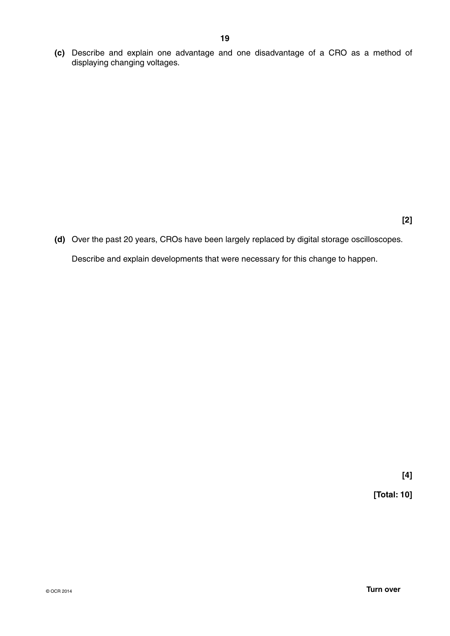**(c)** Describe and explain one advantage and one disadvantage of a CRO as a method of displaying changing voltages.

 **(d)** Over the past 20 years, CROs have been largely replaced by digital storage oscilloscopes. Describe and explain developments that were necessary for this change to happen.

**[4]**

**[Total: 10]**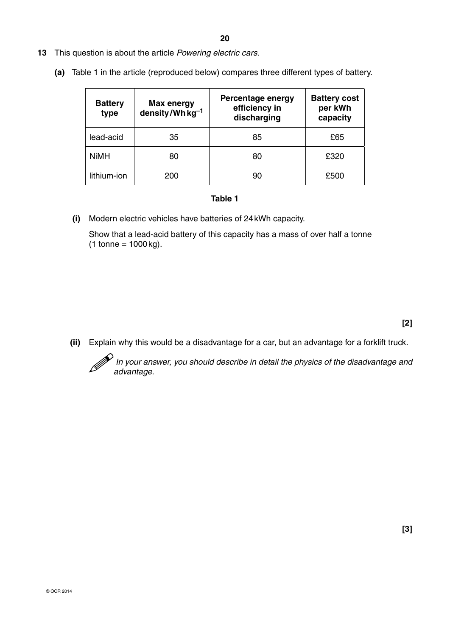- **13** This question is about the article *Powering electric cars.*
	- **(a)** Table 1 in the article (reproduced below) compares three different types of battery.

| <b>Battery</b><br>type | <b>Max energy</b><br>density/Wh $kg^{-1}$ | Percentage energy<br>efficiency in<br>discharging | <b>Battery cost</b><br>per kWh<br>capacity |
|------------------------|-------------------------------------------|---------------------------------------------------|--------------------------------------------|
| lead-acid              | 35                                        | 85                                                | £65                                        |
| <b>NiMH</b>            | 80                                        | 80                                                | £320                                       |
| lithium-ion            | 200                                       | 90                                                | £500                                       |

#### **Table 1**

 **(i)** Modern electric vehicles have batteries of 24 kWh capacity.

Show that a lead-acid battery of this capacity has a mass of over half a tonne  $(1 \text{ tonne} = 1000 \text{ kg}).$ 

 **(ii)** Explain why this would be a disadvantage for a car, but an advantage for a forklift truck.

In your answer, you should describe in detail the physics of the disadvantage and and and *advantage* and *advantage.*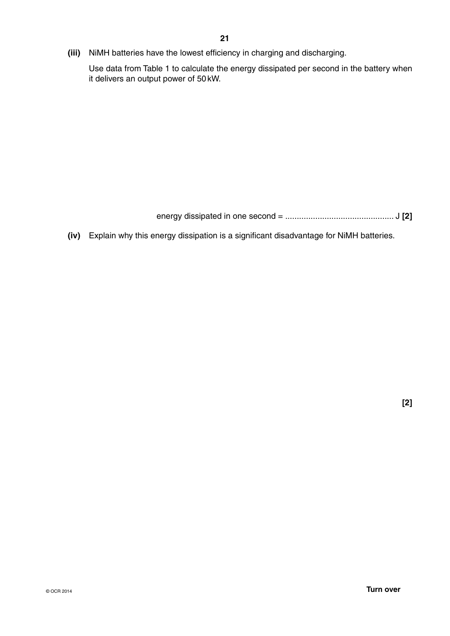**(iii)** NiMH batteries have the lowest efficiency in charging and discharging.

Use data from Table 1 to calculate the energy dissipated per second in the battery when it delivers an output power of 50 kW.

energy dissipated in one second = ............................................... J **[2]**

 **(iv)** Explain why this energy dissipation is a significant disadvantage for NiMH batteries.

**[2]**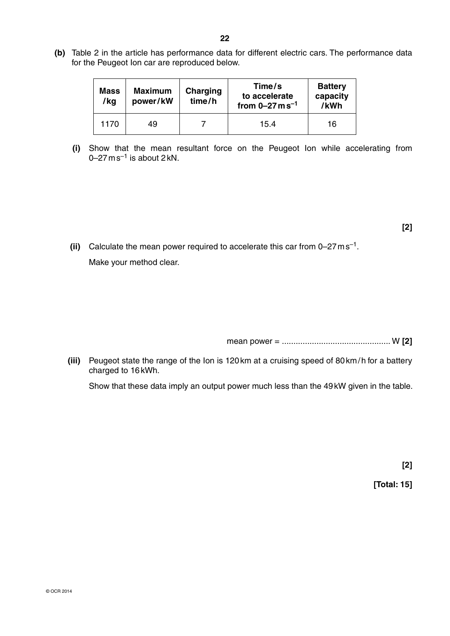**(b)** Table 2 in the article has performance data for different electric cars. The performance data for the Peugeot Ion car are reproduced below.

| <b>Mass</b><br>/kg | <b>Maximum</b><br>power/kW | Charging<br>time/h | Time/s<br>to accelerate<br>from $0 - 27$ m s <sup>-1</sup> | <b>Battery</b><br>capacity<br>/kWh |
|--------------------|----------------------------|--------------------|------------------------------------------------------------|------------------------------------|
| 1170               | 49                         |                    | 15.4                                                       | 16                                 |

 **(i)** Show that the mean resultant force on the Peugeot Ion while accelerating from  $0$ –27 m s $^{-1}$  is about 2 kN.

 **(ii)** Calculate the mean power required to accelerate this car from 0–27 m s–1.

Make your method clear.

mean power = ............................................... W **[2]**

 **(iii)** Peugeot state the range of the Ion is 120 km at a cruising speed of 80 km / h for a battery charged to 16 kWh.

Show that these data imply an output power much less than the 49 kW given in the table.

**[2]**

 **[Total: 15]**

**[2]**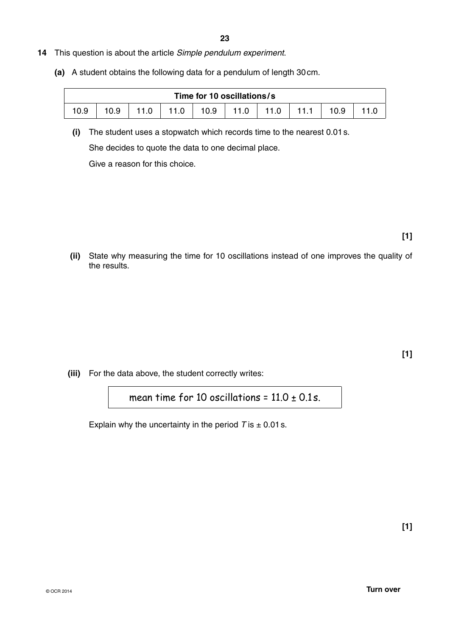- **14** This question is about the article *Simple pendulum experiment*.
	- **(a)** A student obtains the following data for a pendulum of length 30 cm.

| Time for 10 oscillations/s |      |      |      |      |              |      |      |      |  |
|----------------------------|------|------|------|------|--------------|------|------|------|--|
| 10.9                       | 10.9 | 11.0 | 11.0 | 10.9 | $\vert$ 11.0 | 11.0 | 11.1 | 10.9 |  |

 **(i)** The student uses a stopwatch which records time to the nearest 0.01 s. She decides to quote the data to one decimal place.

Give a reason for this choice.

**[1]**

 **(ii)** State why measuring the time for 10 oscillations instead of one improves the quality of the results.

**[1]**

 **(iii)** For the data above, the student correctly writes:

mean time for 10 oscillations =  $11.0 \pm 0.1$ s.

Explain why the uncertainty in the period  $T$  is  $\pm$  0.01 s.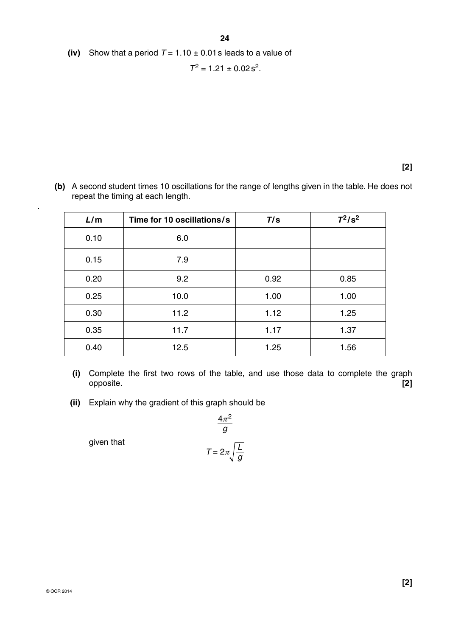**(iv)** Show that a period  $T = 1.10 \pm 0.01$  s leads to a value of

 $T^2 = 1.21 \pm 0.02$  s<sup>2</sup>.

**[2]**

 **(b)** A second student times 10 oscillations for the range of lengths given in the table. He does not repeat the timing at each length.

| L/m  | Time for 10 oscillations/s | T/s  | $T^2/s^2$ |
|------|----------------------------|------|-----------|
| 0.10 | 6.0                        |      |           |
| 0.15 | 7.9                        |      |           |
| 0.20 | 9.2                        | 0.92 | 0.85      |
| 0.25 | 10.0                       | 1.00 | 1.00      |
| 0.30 | 11.2                       | 1.12 | 1.25      |
| 0.35 | 11.7                       | 1.17 | 1.37      |
| 0.40 | 12.5                       | 1.25 | 1.56      |

- **(i)** Complete the first two rows of the table, and use those data to complete the graph opposite. **[2]**
- **(ii)** Explain why the gradient of this graph should be

$$
\frac{4\pi^2}{g}
$$

$$
T = 2\pi \sqrt{\frac{L}{g}}
$$

given that

.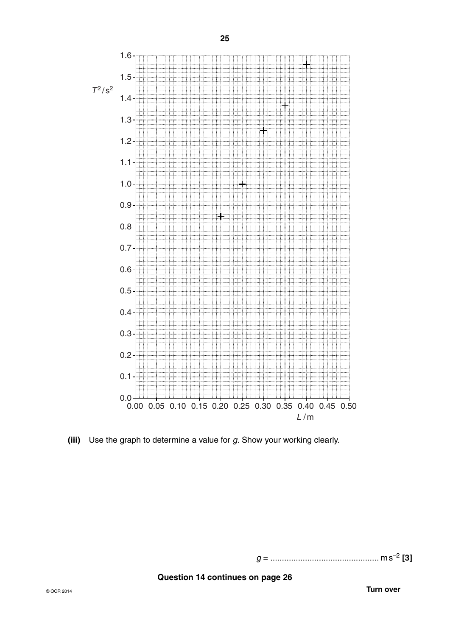

 **(iii)** Use the graph to determine a value for *g.* Show your working clearly.

*g* = ............................................... m s–2 **[3]**

**Question 14 continues on page 26**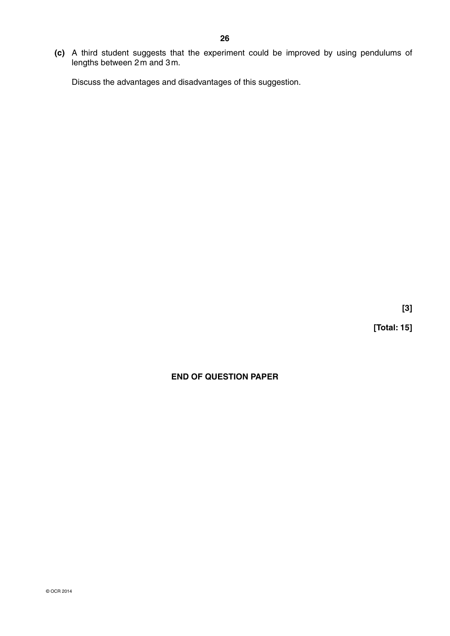**(c)** A third student suggests that the experiment could be improved by using pendulums of lengths between 2 m and 3 m.

Discuss the advantages and disadvantages of this suggestion.

**[3]**

**[Total: 15]**

# **END OF QUESTION PAPER**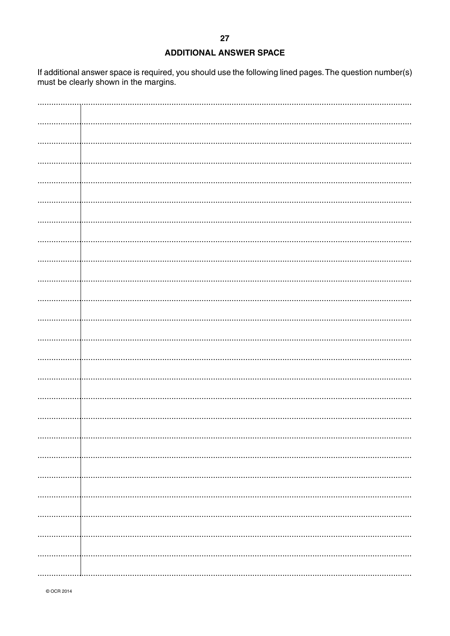### **ADDITIONAL ANSWER SPACE**

If additional answer space is required, you should use the following lined pages. The question number(s) must be clearly shown in the margins.